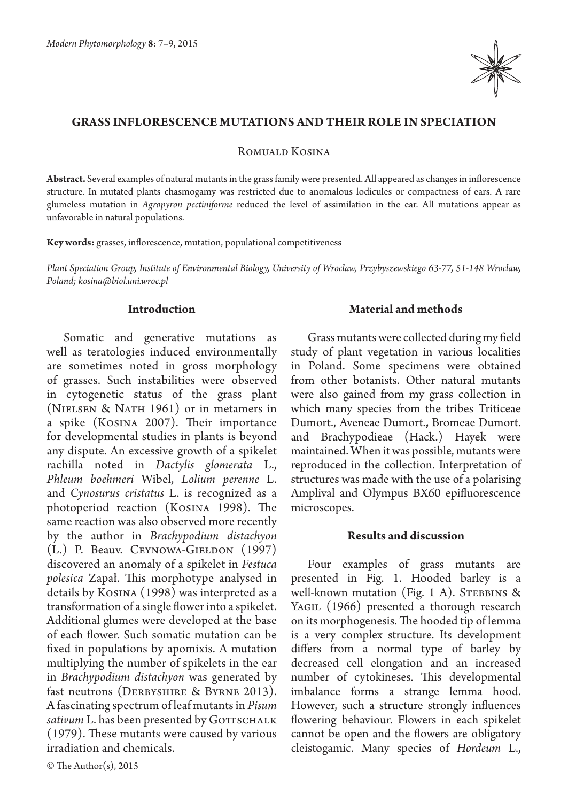

## **Grass inflorescence mutations and their role in speciation**

Romuald Kosina

**Abstract.** Several examples of natural mutants in the grass family were presented. All appeared as changes in inflorescence structure. In mutated plants chasmogamy was restricted due to anomalous lodicules or compactness of ears. A rare glumeless mutation in *Agropyron pectiniforme* reduced the level of assimilation in the ear. All mutations appear as unfavorable in natural populations.

**Key words:** grasses, inflorescence, mutation, populational competitiveness

*Plant Speciation Group, Institute of Environmental Biology, University of Wroclaw, Przybyszewskiego 63-77, 51-148 Wroclaw, Poland; kosina@biol.uni.wroc.pl*

# **Introduction**

Somatic and generative mutations as well as teratologies induced environmentally are sometimes noted in gross morphology of grasses. Such instabilities were observed in cytogenetic status of the grass plant (Nielsen & Nath 1961) or in metamers in a spike (Kosina 2007). Their importance for developmental studies in plants is beyond any dispute. An excessive growth of a spikelet rachilla noted in *Dactylis glomerata*  L., *Phleum boehmeri* Wibel, *Lolium perenne* L. and *Cynosurus cristatus* L. is recognized as a photoperiod reaction (Kosina 1998). The same reaction was also observed more recently by the author in *Brachypodium distachyon* (L.) P. Beauv. Ceynowa-Giełdon (1997) discovered an anomaly of a spikelet in *Festuca polesica* Zapał. This morphotype analysed in details by Kosina (1998) was interpreted as a transformation of a single flower into a spikelet. Additional glumes were developed at the base of each flower. Such somatic mutation can be fixed in populations by apomixis. A mutation multiplying the number of spikelets in the ear in *Brachypodium distachyon* was generated by fast neutrons (DERBYSHIRE & BYRNE 2013). A fascinating spectrum of leaf mutants in *Pisum*  sativum L. has been presented by GOTTSCHALK (1979). These mutants were caused by various irradiation and chemicals.

### **Material and methods**

Grass mutants were collected during my field study of plant vegetation in various localities in Poland. Some specimens were obtained from other botanists. Other natural mutants were also gained from my grass collection in which many species from the tribes Triticeae Dumort., Aveneae Dumort.**,** Bromeae Dumort. and Brachypodieae (Hack.) Hayek were maintained. When it was possible, mutants were reproduced in the collection. Interpretation of structures was made with the use of a polarising Amplival and Olympus BX60 epifluorescence microscopes.

#### **Results and discussion**

Four examples of grass mutants are presented in Fig. 1. Hooded barley is a well-known mutation (Fig. 1 A). STEBBINS  $\&$ YAGIL (1966) presented a thorough research on its morphogenesis. The hooded tip of lemma is a very complex structure. Its development differs from a normal type of barley by decreased cell elongation and an increased number of cytokineses. This developmental imbalance forms a strange lemma hood. However, such a structure strongly influences flowering behaviour. Flowers in each spikelet cannot be open and the flowers are obligatory cleistogamic. Many species of *Hordeum* L.,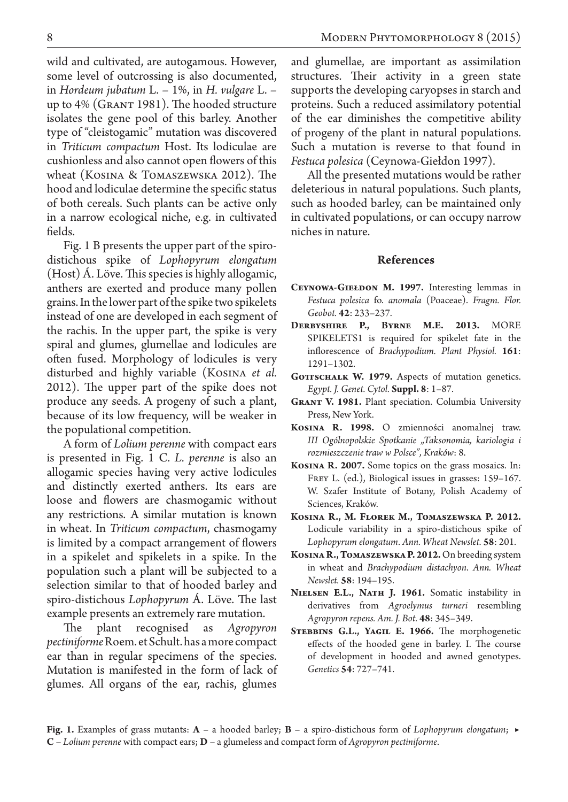wild and cultivated, are autogamous. However, some level of outcrossing is also documented, in *Hordeum jubatum* L. – 1%, in *H. vulgare* L. – up to 4% (Grant 1981). The hooded structure isolates the gene pool of this barley. Another type of "cleistogamic" mutation was discovered in *Triticum compactum* Host. Its lodiculae are cushionless and also cannot open flowers of this wheat (Kosina & Tomaszewska 2012). The hood and lodiculae determine the specific status of both cereals. Such plants can be active only in a narrow ecological niche, e.g. in cultivated fields.

Fig. 1 B presents the upper part of the spirodistichous spike of *Lophopyrum elongatum* (Host) Á. Löve. This species is highly allogamic, anthers are exerted and produce many pollen grains. In the lower part of the spike two spikelets instead of one are developed in each segment of the rachis. In the upper part, the spike is very spiral and glumes, glumellae and lodicules are often fused. Morphology of lodicules is very disturbed and highly variable (Kosina *et al.*  2012). The upper part of the spike does not produce any seeds. A progeny of such a plant, because of its low frequency, will be weaker in the populational competition.

A form of *Lolium perenne* with compact ears is presented in Fig. 1 C. *L. perenne* is also an allogamic species having very active lodicules and distinctly exerted anthers. Its ears are loose and flowers are chasmogamic without any restrictions. A similar mutation is known in wheat. In *Triticum compactum*, chasmogamy is limited by a compact arrangement of flowers in a spikelet and spikelets in a spike. In the population such a plant will be subjected to a selection similar to that of hooded barley and spiro-distichous *Lophopyrum* Á. Löve. The last example presents an extremely rare mutation.

The plant recognised as *Agropyron pectiniforme* Roem. et Schult. has a more compact ear than in regular specimens of the species. Mutation is manifested in the form of lack of glumes. All organs of the ear, rachis, glumes and glumellae, are important as assimilation structures. Their activity in a green state supports the developing caryopses in starch and proteins. Such a reduced assimilatory potential of the ear diminishes the competitive ability of progeny of the plant in natural populations. Such a mutation is reverse to that found in *Festuca polesica* (Ceynowa-Giełdon 1997).

All the presented mutations would be rather deleterious in natural populations. Such plants, such as hooded barley, can be maintained only in cultivated populations, or can occupy narrow niches in nature.

### **References**

- **Ceynowa-Giełdon M. 1997.** Interesting lemmas in *Festuca polesica* fo. *anomala* (Poaceae). *Fragm. Flor. Geobot.* **42**: 233–237.
- **Derbyshire P., Byrne M.E. 2013.** MORE SPIKELETS1 is required for spikelet fate in the inflorescence of *Brachypodium. Plant Physiol.* **161**: 1291–1302.
- GOTTSCHALK W. 1979. Aspects of mutation genetics. *Egypt. J. Genet. Cytol.* **Suppl. 8**: 1–87.
- **Grant V. 1981.** Plant speciation. Columbia University Press, New York.
- **Kosina R. 1998.** O zmienności anomalnej traw. *III Ogólnopolskie Spotkanie "Taksonomia, kariologia i rozmieszczenie traw w Polsce", Kraków*: 8.
- **Kosina R. 2007.** Some topics on the grass mosaics. In: Frey L. (ed.), Biological issues in grasses: 159–167. W. Szafer Institute of Botany, Polish Academy of Sciences, Kraków.
- **Kosina R., M. Florek M., Tomaszewska P. 2012.**  Lodicule variability in a spiro-distichous spike of *Lophopyrum elongatum*. *Ann. Wheat Newslet.* **58**: 201.
- **Kosina R., Tomaszewska P. 2012.** On breeding system in wheat and *Brachypodium distachyon*. *Ann. Wheat Newslet.* **58**: 194–195.
- **Nielsen E.L., Nath J. 1961.** Somatic instability in derivatives from *Agroelymus turneri* resembling *Agropyron repens. Am. J. Bot.* **48**: 345–349.
- STEBBINS G.L., YAGIL E. 1966. The morphogenetic effects of the hooded gene in barley. I. The course of development in hooded and awned genotypes. *Genetics* **54**: 727–741.

**Fig. 1.** Examples of grass mutants: **A** – a hooded barley; **B** – a spiro-distichous form of *Lophopyrum elongatum*; ▶**C** – *Lolium perenne* with compact ears; **D** – a glumeless and compact form of *Agropyron pectiniforme*.